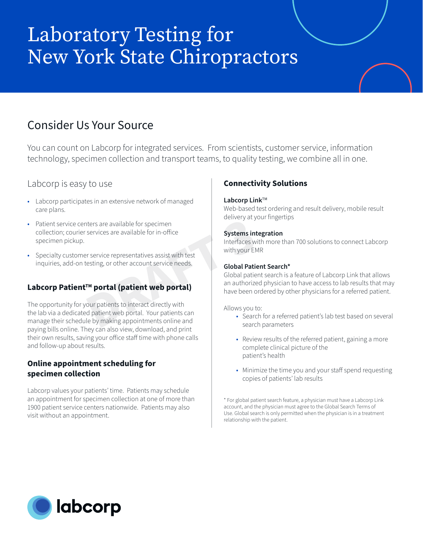# Laboratory Testing for New York State Chiropractors

# Consider Us Your Source

You can count on Labcorp for integrated services. From scientists, customer service, information technology, specimen collection and transport teams, to quality testing, we combine all in one.

# Labcorp is easy to use

- Labcorp participates in an extensive network of managed care plans.
- Patient service centers are available for specimen collection; courier services are available for in-office specimen pickup.
- Specialty customer service representatives assist with test inquiries, add-on testing, or other account service needs.

# Labcorp Patient<sup>™</sup> portal (patient web portal)

The opportunity for your patients to interact directly with the lab via a dedicated patient web portal. Your patients can manage their schedule by making appointments online and paying bills online. They can also view, download, and print their own results, saving your office staff time with phone calls and follow-up about results. Exercise are available for in-office<br>
services are available for in-office<br>
For service representatives assist with test<br>
esting, or other account service needs.<br> **Clobal Patier**<br> **Clobal Patier<br>
Metal (patient web portal** 

### **Online appointment scheduling for specimen collection**

Labcorp values your patients' time. Patients may schedule an appointment for specimen collection at one of more than 1900 patient service centers nationwide. Patients may also visit without an appointment.

## **Connectivity Solutions**

#### **Labcorp Link™**

Web-based test ordering and result delivery, mobile result delivery at your fingertips

#### **Systems integration**

Interfaces with more than 700 solutions to connect Labcorp with your EMR

#### **Global Patient Search\***

Global patient search is a feature of Labcorp Link that allows an authorized physician to have access to lab results that may have been ordered by other physicians for a referred patient.

Allows you to:

- Search for a referred patient's lab test based on several search parameters
- Review results of the referred patient, gaining a more complete clinical picture of the patient's health
- Minimize the time you and your staff spend requesting copies of patients' lab results

\* For global patient search feature, a physician must have a Labcorp Link account, and the physician must agree to the Global Search Terms of Use. Global search is only permitted when the physician is in a treatment relationship with the patient.

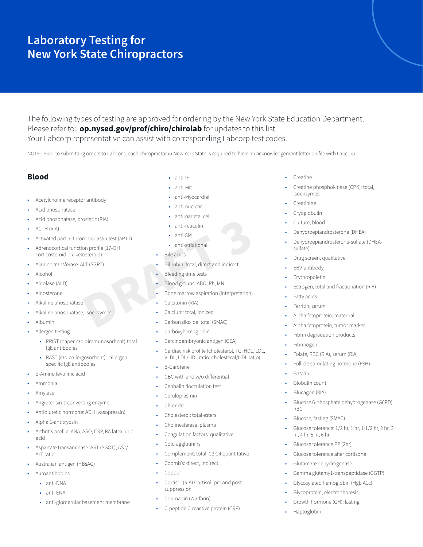# **Laboratory Testing for New York State Chiropractors**

The following types of testing are approved for ordering by the New York State Education Department. Please refer to: **op.nysed.gov/prof/chiro/chirolab** for updates to this list. Your Labcorp representative can assist with corresponding Labcorp test codes.

NOTE: Prior to submitting orders to Labcorp, each chiropractor in New York State is required to have an acknowledgement letter on file with Labcorp.

#### **Blood**

- Acetylcholine receptor antibody
- Acid phosphatase
- Acid phosphatase, prostatic (RIA)
- ACTH (RIA)
- Activated partial thromboplastin test (aPTT)
- Adrenocortical function profile (17-OH corticosteroid, 17-ketosteroid)
- Alanine transferase: ALT (SGPT)
- Alcohol
- Aldolase (ALD)
- Aldosterone
- Alkaline phosphatase
- Alkaline phosphatase, isoenzymes
- Albumin
- Allergen testing:
	- PRIST (paper-radioimmunosorbent)-total IgE antibodies
	- RAST (radioallergosorbent) allergenspecific IgE antibodies
- d-Amino levulinic acid
- Ammonia
- Amylase
- Angiotensin-1 converting enzyme
- Antidiuretic hormone: ADH (vasopressin)
- Alpha 1-antitrypsin
- Arthritis profile: ANA, ASO, CRP, RA latex, uric acid
- Aspartate transaminase: AST (SGOT), AST/ ALT ratio
- Australian antigen (HBsAG)
- Autoantibodies:
	- anti-DNA
	- anti-ENA
	- anti-glomerular basement membrane
- anti-IF
- anti-Mit
- anti-Myocardial
- anti-nuclear
- anti-parietal cell
- anti-reticulin
- anti-SM
- anti-striational
- Bile acids
- Bilirubin: total, direct and indirect
- **Bleeding time tests**
- Blood groups: ABO, Rh, MN
- Bone marrow aspiration (interpretation) Static (RIA)<br>
mboplastin test (aPTT)<br>
on profile (17-OH<br>
osteroid)<br> **DRAFT 3**<br> **DRAFT 3**<br> **DRAFT 3**<br> **DRAFT 3**<br> **DRAFT 3**<br> **DRAFT 3**<br> **DRAFT 3**<br> **DRAFT 3**<br> **DRAFT 3**<br> **DRAFT 3**<br> **DRAFT 3**<br> **DRAFT 3**<br> **DRAFT 3**<br> **DRAFT 3**<br>
	- Calcitonin (RIA)
	- Calcium: total, ionized
	- Carbon dioxide: total (SMAC)
	- Carboxyhemoglobin
	- Carcinoembryonic antigen (CEA)
	- Cardiac risk profile (cholesterol, TG, HDL, LDL, VLDL, LDL/HDL ratio, cholesterol/HDL ratio)
	- B-Carotene
	- CBC with and w/o differential
	- Cephalin flocculation test
	- Ceruloplasmin
	- Chloride
	- Cholesterol: total esters
	- Cholinesterase, plasma
	- Coagulation factors: qualitative
	- Cold agglutinins
	- Complement: total; C3 C4 quantitative
	- Coomb's: direct, indirect
	- Copper
	- Cortisol (RIA) Cortisol: pre and post suppression
	- Coumadin (Warfarin)
	- C-peptide C-reactive protein (CRP)
- Creatine
- Creatine phosphokinase (CPK): total, isoenzymes
- **Creatinine**
- Cryoglobulin
- Culture, blood
- Dehydroepiandrosterone (DHEA)
- Dehydroepiandrosterone-sulfate (DHEAsulfate)
- Drug screen, qualitative
- EBV-antibody
- **Erythropoietin**
- Estrogen, total and fractionation (RIA)
- Fatty acids
- Ferritin, serum
- Alpha fetoprotein, maternal
- Alpha fetoprotein, tumor marker
- Fibrin degradation products
- Fibrinogen
- Folate, RBC (RIA), serum (RIA)
- Follicle stimulating hormone (FSH)
- Gastrin
- Globulin count
- Glucagon (RIA)
- Glucose 6-phosphate dehydrogenase (G6PD), RBC
- Glucose, fasting (SMAC)
- Glucose tolerance: 1/2 hr, 1 hr, 1-1/2 hr, 2 hr, 3 hr, 4 hr, 5 hr, 6 hr
- Glucose tolerance PP (2hr)
	- Glucose tolerance after cortisone
- Glutamate dehydrogenase
- Gamma glutamy1-transpeptidase (GGTP)
- Glycosylated hemoglobin (Hgb A1c)
- Glycoprotein, electrophoresis
- Growth hormone (GH): fasting
- Haptoglobin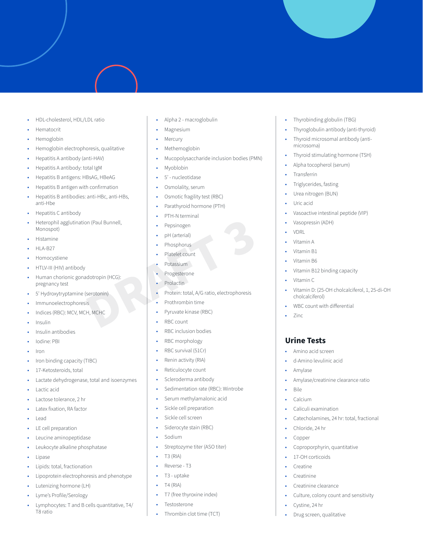- HDL-cholesterol, HDL/LDL ratio
- Hematocrit
- Hemoglobin
- Hemoglobin electrophoresis, qualitative
- Hepatitis A antibody (anti-HAV)
- Hepatitis A antibody: total IgM
- Hepatitis B antigens: HBsAG, HBeAG
- Hepatitis B antigen with confirmation
- Hepatitis B antibodies: anti-HBc, anti-HBs, anti-Hbe
- Hepatitis C antibody
- Heterophil agglutination (Paul Bunnell, Monospot)
- Histamine
- HLA-B27
- Homocystiene
- HTLV-III (HIV) antibody
- Human chorionic gonadotropin (HCG): pregnancy test
- 5' Hydroxytryptamine (serotonin)
- Immunoelectrophoresis
- Indices (RBC): MCV, MCH, MCHC
- Insulin
- Insulin antibodies
- Iodine: PBI
- Iron
- Iron binding capacity (TIBC)
- 17-Ketosteroids, total
- Lactate dehydrogenase, total and isoenzymes
- Lactic acid
- Lactose tolerance, 2 hr
- Latex fixation, RA factor
- Lead
- LE cell preparation
- Leucine aminopeptidase
- Leukocyte alkaline phosphatase
- Lipase
- Lipids: total, fractionation
- Lipoprotein electrophoresis and phenotype
- Lutenizing hormone (LH)
- Lyme's Profile/Serology
- Lymphocytes: T and B cells quantitative, T4/ T8 ratio
- Alpha 2 macroglobulin
- Magnesium
- **Mercury**
- Methemoglobin
- Mucopolysaccharide inclusion bodies (PMN)
- Myoblobin
- 5' nucleotidase
- Osmolality, serum
- Osmotic fragility test (RBC)
- Parathyroid hormone (PTH)
- PTH-N terminal
- Pepsinogen
- pH (arterial)
- Phosphorus
- Platelet count
- Potassium
- Progesterone
- Prolactin
- Protein: total, A/G ratio, electrophoresis **Paul Bunnell,**<br> **PAUL Bunnell,**<br> **PAUL Actions Photography**<br> **PAUL PRAFT 3**<br> **PAUL PRAFT 3**<br> **PAUL PRAFT 3**<br> **PAUL PRAFT 3**<br> **PAUL PRAFT 3**<br> **PAUL PRAFT 3**<br> **PAUL PRAFT 3**<br> **PAUL PRAFT 3**<br> **PAUL PRAFT 3**<br> **PAUL PRAFT 3**<br>
	- Prothrombin time
	- Pyruvate kinase (RBC)
	- RBC count
	- RBC inclusion bodies
	- RBC morphology
	- RBC survival (51Cr)
	- Renin activity (RIA)
	- Reticulocyte count
	- Scleroderma antibody
	- Sedimentation rate (RBC): Wintrobe
	- Serum methylamalonic acid
	- Sickle cell preparation
	- Sickle cell screen
	- Siderocyte stain (RBC)
	- Sodium
	- Streptozyme titer (ASO titer)
	- T3 (RIA)
	- Reverse T3
	- T3 uptake
	- T4 (RIA)
	- T7 (free thyroxine index)
	- **Testosterone**
	- Thrombin clot time (TCT)
- Thyrobinding globulin (TBG)
- Thyroglobulin antibody (anti-thyroid)
- Thyroid microsomal antibody (antimicrosoma)
- Thyroid stimulating hormone (TSH)
- Alpha tocopherol (serum)
- **Transferrin**
- Triglycerides, fasting
- Urea nitrogen (BUN)
- Uric acid
- Vasoactive intestinal peptide (VIP)
- Vasopressin (ADH)
- VDRL
- Vitamin A
- Vitamin B1
- Vitamin B6
- Vitamin B12 binding capacity
- Vitamin C

• Zinc

**Urine Tests**

• Amylase

• Bile • Calcium

• Amino acid screen • d-Amino levulinic acid

• Caliculi examination

• Chloride, 24 hr • Copper

17-OH corticoids **Creatine** • Creatinine

• Creatinine clearance

• Drug screen, qualitative

• Cystine, 24 hr

• Amylase/creatinine clearance ratio

Catecholamines, 24 hr: total, fractional

Coproporphyrin, quantitative

Culture, colony count and sensitivity

- Vitamin D: (25-OH cholcalciferol, 1, 25-di-OH cholcalciferol)
- WBC count with differential